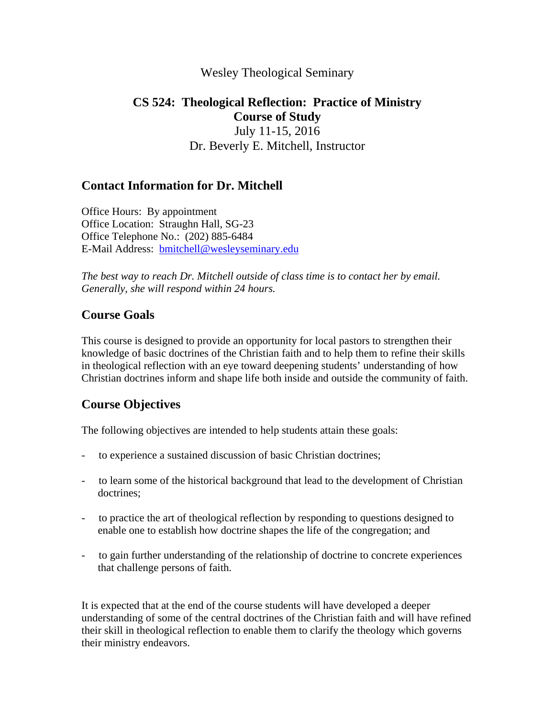## Wesley Theological Seminary

## **CS 524: Theological Reflection: Practice of Ministry Course of Study**  July 11-15, 2016 Dr. Beverly E. Mitchell, Instructor

## **Contact Information for Dr. Mitchell**

Office Hours: By appointment Office Location: Straughn Hall, SG-23 Office Telephone No.: (202) 885-6484 E-Mail Address: bmitchell@wesleyseminary.edu

*The best way to reach Dr. Mitchell outside of class time is to contact her by email. Generally, she will respond within 24 hours.*

## **Course Goals**

This course is designed to provide an opportunity for local pastors to strengthen their knowledge of basic doctrines of the Christian faith and to help them to refine their skills in theological reflection with an eye toward deepening students' understanding of how Christian doctrines inform and shape life both inside and outside the community of faith.

## **Course Objectives**

The following objectives are intended to help students attain these goals:

- to experience a sustained discussion of basic Christian doctrines;
- to learn some of the historical background that lead to the development of Christian doctrines;
- to practice the art of theological reflection by responding to questions designed to enable one to establish how doctrine shapes the life of the congregation; and
- to gain further understanding of the relationship of doctrine to concrete experiences that challenge persons of faith.

It is expected that at the end of the course students will have developed a deeper understanding of some of the central doctrines of the Christian faith and will have refined their skill in theological reflection to enable them to clarify the theology which governs their ministry endeavors.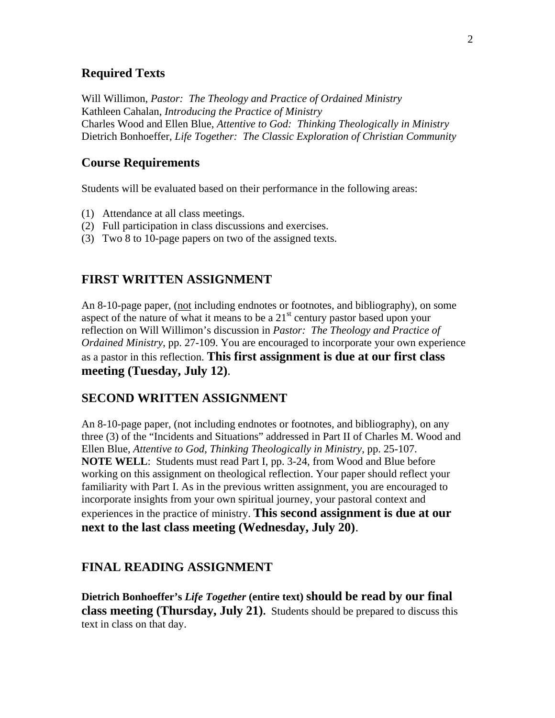#### **Required Texts**

Will Willimon, *Pastor: The Theology and Practice of Ordained Ministry* Kathleen Cahalan, *Introducing the Practice of Ministry* Charles Wood and Ellen Blue, *Attentive to God: Thinking Theologically in Ministry* Dietrich Bonhoeffer, *Life Together: The Classic Exploration of Christian Community*

#### **Course Requirements**

Students will be evaluated based on their performance in the following areas:

- (1) Attendance at all class meetings.
- (2) Full participation in class discussions and exercises.
- (3) Two 8 to 10-page papers on two of the assigned texts.

#### **FIRST WRITTEN ASSIGNMENT**

An 8-10-page paper, (not including endnotes or footnotes, and bibliography), on some aspect of the nature of what it means to be a  $21<sup>st</sup>$  century pastor based upon your reflection on Will Willimon's discussion in *Pastor: The Theology and Practice of Ordained Ministry*, pp. 27-109. You are encouraged to incorporate your own experience as a pastor in this reflection. **This first assignment is due at our first class meeting (Tuesday, July 12)**.

#### **SECOND WRITTEN ASSIGNMENT**

An 8-10-page paper, (not including endnotes or footnotes, and bibliography), on any three (3) of the "Incidents and Situations" addressed in Part II of Charles M. Wood and Ellen Blue, *Attentive to God, Thinking Theologically in Ministry*, pp. 25-107. **NOTE WELL**: Students must read Part I, pp. 3-24, from Wood and Blue before working on this assignment on theological reflection. Your paper should reflect your familiarity with Part I. As in the previous written assignment, you are encouraged to incorporate insights from your own spiritual journey, your pastoral context and experiences in the practice of ministry. **This second assignment is due at our next to the last class meeting (Wednesday, July 20)**.

#### **FINAL READING ASSIGNMENT**

**Dietrich Bonhoeffer's** *Life Together* **(entire text) should be read by our final class meeting (Thursday, July 21).** Students should be prepared to discuss this text in class on that day.